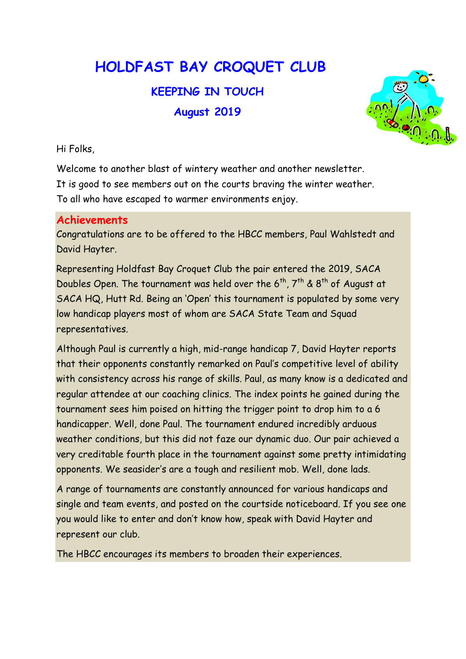HOLDFAST BAY CROQUET CLUB

KEEPING IN TOUCH August 2019



Hi Folks,

Welcome to another blast of wintery weather and another newsletter. It is good to see members out on the courts braving the winter weather. To all who have escaped to warmer environments enjoy.

## Achievements

Congratulations are to be offered to the HBCC members, Paul Wahlstedt and David Hayter.

Representing Holdfast Bay Croquet Club the pair entered the 2019, SACA Doubles Open. The tournament was held over the  $6^{th}$ ,  $7^{th}$  &  $8^{th}$  of August at SACA HQ, Hutt Rd. Being an 'Open' this tournament is populated by some very low handicap players most of whom are SACA State Team and Squad representatives.

Although Paul is currently a high, mid-range handicap 7, David Hayter reports that their opponents constantly remarked on Paul's competitive level of ability with consistency across his range of skills. Paul, as many know is a dedicated and regular attendee at our coaching clinics. The index points he gained during the tournament sees him poised on hitting the trigger point to drop him to a 6 handicapper. Well, done Paul. The tournament endured incredibly arduous weather conditions, but this did not faze our dynamic duo. Our pair achieved a very creditable fourth place in the tournament against some pretty intimidating opponents. We seasider's are a tough and resilient mob. Well, done lads.

A range of tournaments are constantly announced for various handicaps and single and team events, and posted on the courtside noticeboard. If you see one you would like to enter and don't know how, speak with David Hayter and represent our club.

The HBCC encourages its members to broaden their experiences.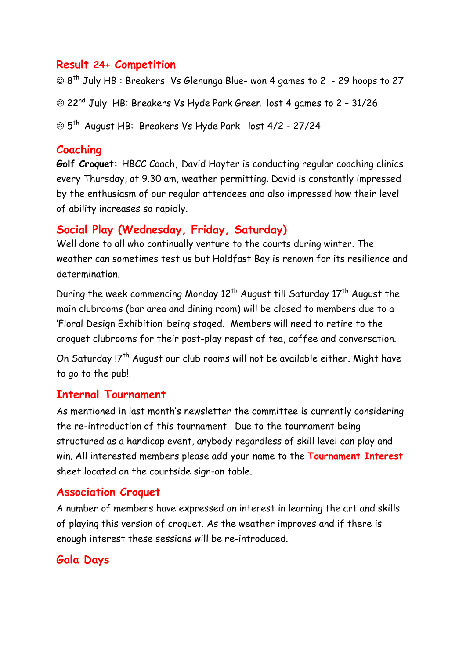## Result 24+ Competition

 $\odot$  8<sup>th</sup> July HB : Breakers Vs Glenunga Blue- won 4 games to 2 - 29 hoops to 27 22nd July HB: Breakers Vs Hyde Park Green lost 4 games to 2 – 31/26 5th August HB: Breakers Vs Hyde Park lost 4/2 - 27/24

## Coaching

Golf Croquet: HBCC Coach, David Hayter is conducting regular coaching clinics every Thursday, at 9.30 am, weather permitting. David is constantly impressed by the enthusiasm of our regular attendees and also impressed how their level of ability increases so rapidly.

## Social Play (Wednesday, Friday, Saturday)

Well done to all who continually venture to the courts during winter. The weather can sometimes test us but Holdfast Bay is renown for its resilience and determination.

During the week commencing Monday  $12^{th}$  August till Saturday  $17^{th}$  August the main clubrooms (bar area and dining room) will be closed to members due to a 'Floral Design Exhibition' being staged. Members will need to retire to the croquet clubrooms for their post-play repast of tea, coffee and conversation.

On Saturday !7<sup>th</sup> August our club rooms will not be available either. Might have to go to the pub!!

## Internal Tournament

As mentioned in last month's newsletter the committee is currently considering the re-introduction of this tournament. Due to the tournament being structured as a handicap event, anybody regardless of skill level can play and win. All interested members please add your name to the Tournament Interest sheet located on the courtside sign-on table.

## Association Croquet

A number of members have expressed an interest in learning the art and skills of playing this version of croquet. As the weather improves and if there is enough interest these sessions will be re-introduced.

## Gala Days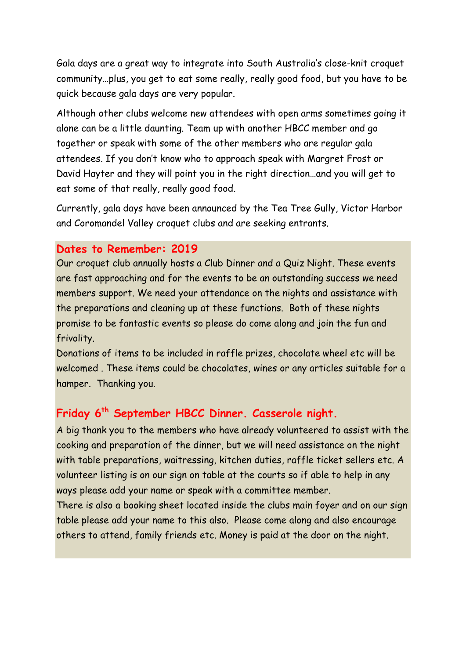Gala days are a great way to integrate into South Australia's close-knit croquet community…plus, you get to eat some really, really good food, but you have to be quick because gala days are very popular.

Although other clubs welcome new attendees with open arms sometimes going it alone can be a little daunting. Team up with another HBCC member and go together or speak with some of the other members who are regular gala attendees. If you don't know who to approach speak with Margret Frost or David Hayter and they will point you in the right direction…and you will get to eat some of that really, really good food.

Currently, gala days have been announced by the Tea Tree Gully, Victor Harbor and Coromandel Valley croquet clubs and are seeking entrants.

#### Dates to Remember: 2019

Our croquet club annually hosts a Club Dinner and a Quiz Night. These events are fast approaching and for the events to be an outstanding success we need members support. We need your attendance on the nights and assistance with the preparations and cleaning up at these functions. Both of these nights promise to be fantastic events so please do come along and join the fun and frivolity.

Donations of items to be included in raffle prizes, chocolate wheel etc will be welcomed . These items could be chocolates, wines or any articles suitable for a hamper. Thanking you.

## Friday 6th September HBCC Dinner. Casserole night.

A big thank you to the members who have already volunteered to assist with the cooking and preparation of the dinner, but we will need assistance on the night with table preparations, waitressing, kitchen duties, raffle ticket sellers etc. A volunteer listing is on our sign on table at the courts so if able to help in any ways please add your name or speak with a committee member.

There is also a booking sheet located inside the clubs main foyer and on our sign table please add your name to this also. Please come along and also encourage others to attend, family friends etc. Money is paid at the door on the night.